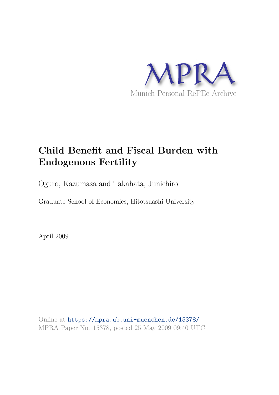

# **Child Benefit and Fiscal Burden with Endogenous Fertility**

Oguro, Kazumasa and Takahata, Junichiro

Graduate School of Economics, Hitotsuashi University

April 2009

Online at https://mpra.ub.uni-muenchen.de/15378/ MPRA Paper No. 15378, posted 25 May 2009 09:40 UTC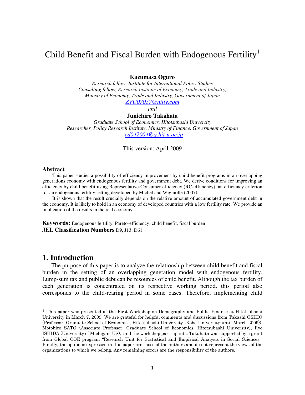## Child Benefit and Fiscal Burden with Endogenous Fertility<sup>1</sup>

### **Kazumasa Oguro**

*Research fellow, Institute for International Policy Studies Consulting fellow, Research Institute of Economy, Trade and Industry, Ministry of Economy, Trade and Industry, Government of Japan*

*[ZVU07057@nifty.com](mailto:ZVU07057@nifty.com)*

*and* 

#### **Junichiro Takahata**

*Graduate School of Economics, Hitotsubashi University Researcher, Policy Research Institute, Ministry of Finance, Government of Japan [ed042004@g.hit-u.ac.jp](mailto:ed042004@g.hit-u.ac.jp)*

This version: April 2009

#### **Abstract**

This paper studies a possibility of efficiency improvement by child benefit programs in an overlapping generations economy with endogenous fertility and government debt. We derive conditions for improving an efficiency by child benefit using Representative-Consumer efficiency (RC-efficiency), an efficiency criterion for an endogenous fertility setting developed by Michel and Wigniolle (2007).

It is shown that the result crucially depends on the relative amount of accumulated government debt in the economy. It is likely to hold in an economy of developed countries with a low fertility rate. We provide an implication of the results in the real economy.

**Keywords:** Endogenous fertility, Pareto-efficiency, child benefit, fiscal burden **JEL Classification Numbers** D9, J13, D61

### **1. Introduction**

 $\overline{a}$ 

The purpose of this paper is to analyze the relationship between child benefit and fiscal burden in the setting of an overlapping generation model with endogenous fertility. Lump-sum tax and public debt can be resources of child benefit. Although the tax burden of each generation is concentrated on its respective working period, this period also corresponds to the child-rearing period in some cases. Therefore, implementing child

<sup>1</sup> This paper was presented at the First Workshop on Demography and Public Finance at Hitotsubashi University in March 7, 2009. We are grateful for helpful comments and discussions from Takashi OSHIO (Professor, Graduate School of Economics, Hitotsubashi University (Kobe University until March 2009)), Motohiro SATO (Associate Professor, Graduate School of Economics, Hitotsubashi University), Ryo ISHIDA (University of Michigan, US), and the workshop participants. Takahata was supported by a grant from Global COE program "Research Unit for Statistical and Empirical Analysis in Social Sciences." Finally, the opinions expressed in this paper are those of the authors and do not represent the views of the organizations to which we belong. Any remaining errors are the responsibility of the authors.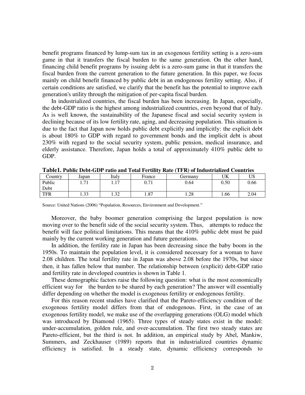benefit programs financed by lump-sum tax in an exogenous fertility setting is a zero-sum game in that it transfers the fiscal burden to the same generation. On the other hand, financing child benefit programs by issuing debt is a zero-sum game in that it transfers the fiscal burden from the current generation to the future generation. In this paper, we focus mainly on child benefit financed by public debt in an endogenous fertility setting. Also, if certain conditions are satisfied, we clarify that the benefit has the potential to improve each generation's utility through the mitigation of per-capita fiscal burden.

In industrialized countries, the fiscal burden has been increasing. In Japan, especially, the debt-GDP ratio is the highest among industrialized countries, even beyond that of Italy. As is well known, the sustainability of the Japanese fiscal and social security system is declining because of its low fertility rate, aging, and decreasing population. This situation is due to the fact that Japan now holds public debt explicitly and implicitly: the explicit debt is about 180% to GDP with regard to government bonds and the implicit debt is about 230% with regard to the social security system, public pension, medical insurance, and elderly assistance. Therefore, Japan holds a total of approximately 410% public debt to GDP.

| Country    | Japan      | Italy                | France | Germany | UK     | UΩ   |
|------------|------------|----------------------|--------|---------|--------|------|
| Public     | 71<br>1.71 | 1 <sub>7</sub><br>.  | 0.71   | 0.64    | 0.50   | 0.66 |
| Debt       |            |                      |        |         |        |      |
| <b>TFR</b> | 1.33       | $\mathbf{c}$<br>ے بی | 1.87   | 1.28    | . . 66 | 2.04 |

**Table1. Public Debt-GDP ratio and Total Fertility Rate (TFR) of Industrialized Countries**

Source: United Nations (2006) "Population, Resources, Environment and Development."

Moreover, the baby boomer generation comprising the largest population is now moving over to the benefit side of the social security system. Thus, attempts to reduce the benefit will face political limitations. This means that the 410% public debt must be paid mainly by the current working generation and future generations.

In addition, the fertility rate in Japan has been decreasing since the baby boom in the 1950s. To maintain the population level, it is considered necessary for a woman to have 2.08 children. The total fertility rate in Japan was above 2.08 before the 1970s, but since then, it has fallen below that number. The relationship between (explicit) debt-GDP ratio and fertility rate in developed countries is shown in Table 1.

These demographic factors raise the following question: what is the most economically efficient way for the burden to be shared by each generation? The answer will essentially differ depending on whether the model is exogenous fertility or endogenous fertility.

For this reason recent studies have clarified that the Pareto-efficiency condition of the exogenous fertility model differs from that of endogenous. First, in the case of an exogenous fertility model, we make use of the overlapping generations (OLG) model which was introduced by Diamond (1965). Three types of steady states exist in the model: under-accumulation, golden rule, and over-accumulation. The first two steady states are Pareto-efficient, but the third is not. In addition, an empirical study by Abel, Mankiw, Summers, and Zeckhauser (1989) reports that in industrialized countries dynamic efficiency is satisfied. In a steady state, dynamic efficiency corresponds to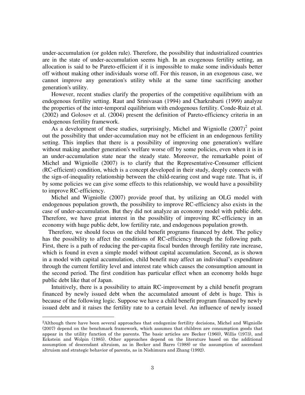under-accumulation (or golden rule). Therefore, the possibility that industrialized countries are in the state of under-accumulation seems high. In an exogenous fertility setting, an allocation is said to be Pareto-efficient if it is impossible to make some individuals better off without making other individuals worse off. For this reason, in an exogenous case, we cannot improve any generation's utility while at the same time sacrificing another generation's utility.

However, recent studies clarify the properties of the competitive equilibrium with an endogenous fertility setting. Raut and Srinivasan (1994) and Charkrabarti (1999) analyze the properties of the inter-temporal equilibrium with endogenous fertility. Conde-Ruiz et al. (2002) and Golosov et al. (2004) present the definition of Pareto-efficiency criteria in an endogenous fertility framework.

As a development of these studies, surprisingly, Michel and Wigniolle  $(2007)^2$  point out the possibility that under-accumulation may not be efficient in an endogenous fertility setting. This implies that there is a possibility of improving one generation's welfare without making another generation's welfare worse off by some policies, even when it is in an under-accumulation state near the steady state. Moreover, the remarkable point of Michel and Wigniolle (2007) is to clarify that the Representative-Consumer efficient (RC-efficient) condition, which is a concept developed in their study, deeply connects with the sign-of-inequality relationship between the child-rearing cost and wage rate. That is, if by some policies we can give some effects to this relationship, we would have a possibility to improve RC-efficiency.

Michel and Wigniolle (2007) provide proof that, by utilizing an OLG model with endogenous population growth, the possibility to improve RC-efficiency also exists in the case of under-accumulation. But they did not analyze an economy model with public debt. Therefore, we have great interest in the possibility of improving RC-efficiency in an economy with huge public debt, low fertility rate, and endogenous population growth.

Therefore, we should focus on the child benefit programs financed by debt. The policy has the possibility to affect the conditions of RC-efficiency through the following path. First, there is a path of reducing the per-capita fiscal burden through fertility rate increase, which is found in even a simple model without capital accumulation. Second, as is shown in a model with capital accumulation, child benefit may affect an individual's expenditure through the current fertility level and interest rate which causes the consumption amount in the second period. The first condition has particular effect when an economy holds huge public debt like that of Japan.

Intuitively, there is a possibility to attain RC-improvement by a child benefit program financed by newly issued debt when the accumulated amount of debt is huge. This is because of the following logic. Suppose we have a child benefit program financed by newly issued debt and it raises the fertility rate to a certain level. An influence of newly issued

 $\overline{a}$ 

<sup>2</sup>Although there have been several approaches that endogenize fertility decisions, Michel and Wigniolle (2007) depend on the benchmark framework, which assumes that children are consumption goods that appear in the utility function of the parents. The basic articles are Becker (1960), Willis (1973), and Eckstein and Wolpin (1985). Other approaches depend on the literature based on the additional assumption of descendant altruism, as in Becker and Barro (1988) or the assumption of ascendant altruism and strategic behavior of parents, as in Nishimura and Zhang (1992).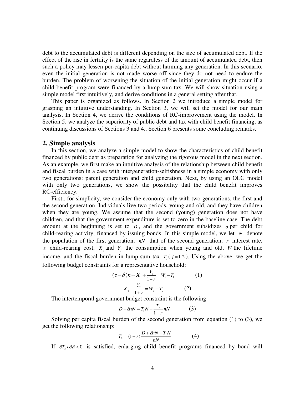debt to the accumulated debt is different depending on the size of accumulated debt. If the effect of the rise in fertility is the same regardless of the amount of accumulated debt, then such a policy may lessen per-capita debt without harming any generation. In this scenario, even the initial generation is not made worse off since they do not need to endure the burden. The problem of worsening the situation of the initial generation might occur if a child benefit program were financed by a lump-sum tax. We will show situation using a simple model first intuitively, and derive conditions in a general setting after that.

This paper is organized as follows. In Section 2 we introduce a simple model for grasping an intuitive understanding. In Section 3, we will set the model for our main analysis. In Section 4, we derive the conditions of RC-improvement using the model. In Section 5, we analyze the superiority of public debt and tax with child benefit financing, as continuing discussions of Sections 3 and 4.. Section 6 presents some concluding remarks.

### **2. Simple analysis**

In this section, we analyze a simple model to show the characteristics of child benefit financed by public debt as preparation for analyzing the rigorous model in the next section. As an example, we first make an intuitive analysis of the relationship between child benefit and fiscal burden in a case with intergeneration-selfishness in a simple economy with only two generations: parent generation and child generation. Next, by using an OLG model with only two generations, we show the possibility that the child benefit improves RC-efficiency.

First,, for simplicity, we consider the economy only with two generations, the first and the second generation. Individuals live two periods, young and old, and they have children when they are young. We assume that the second (young) generation does not have children, and that the government expenditure is set to zero in the baseline case. The debt amount at the beginning is set to  $D$ , and the government subsidizes  $\delta$  per child for child-rearing activity, financed by issuing bonds. In this simple model, we let *N* denote the population of the first generation,  $nN$  that of the second generation,  $r$  interest rate, *z* child-rearing cost,  $X_i$  and  $Y_j$  the consumption when young and old, *W* the lifetime income, and the fiscal burden in lump-sum tax  $T_j$  ( $j = 1, 2$ ). Using the above, we get the following budget constraints for a representative household:

$$
(z - \delta)n + X_{1} + \frac{Y_{1}}{1+r} = W_{1} - T_{1}
$$
 (1)  

$$
X_{2} + \frac{Y_{2}}{1+r} = W_{2} - T_{2}
$$
 (2)

The intertemporal government budget constraint is the following:

$$
D + \delta n N = T_1 N + \frac{T_2}{1+r} nN \tag{3}
$$

Solving per capita fiscal burden of the second generation from equation (1) to (3), we get the following relationship:

$$
T_2 = (1+r)\frac{D + \delta nN - T_1N}{nN} \tag{4}
$$

If  $\partial T_1/\partial \delta < 0$  is satisfied, enlarging child benefit programs financed by bond will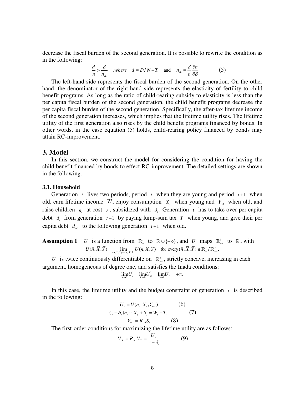decrease the fiscal burden of the second generation. It is possible to rewrite the condition as in the following:

$$
\frac{d}{n} > \frac{\delta}{\eta_{\delta n}} \quad , where \quad d \equiv D/N - T_1 \quad \text{and} \quad \eta_{\delta n} \equiv \frac{\delta}{n} \frac{\partial n}{\partial \delta} \tag{5}
$$

The left-hand side represents the fiscal burden of the second generation. On the other hand, the denominator of the right-hand side represents the elasticity of fertility to child benefit programs. As long as the ratio of child-rearing subsidy to elasticity is less than the per capita fiscal burden of the second generation, the child benefit programs decrease the per capita fiscal burden of the second generation. Specifically, the after-tax lifetime income of the second generation increases, which implies that the lifetime utility rises. The lifetime utility of the first generation also rises by the child benefit programs financed by bonds. In other words, in the case equation (5) holds, child-rearing policy financed by bonds may attain RC-improvement.

### **3. Model**

In this section, we construct the model for considering the condition for having the child benefit financed by bonds to effect RC-improvement. The detailed settings are shown in the following.

#### **3.1. Household**

Generation  $t$  lives two periods, period  $t$  when they are young and period  $t+1$  when old, earn lifetime income *W*, enjoy consumption  $X_t$ , when young and  $Y_{t+1}$  when old, and raise children  $n_i$  at cost  $z$ , subsidized with  $\delta_i$ . Generation  $t$  has to take over per capita debt  $d_i$  from generation  $t-1$  by paying lump-sum tax  $T_i$  when young, and give their per capita debt  $d_{t+1}$  to the following generation  $t+1$  when old.

**Assumption 1** *U* is a function from 
$$
\mathbb{R}^3_+
$$
 to  $\mathbb{R} \cup \{-\infty\}$ , and *U* maps  $\mathbb{R}^3_+$  to  $\mathbb{R}$ , with  $U(\overline{n}, \overline{X}, \overline{Y}) = \lim_{(n, X, Y) \to (\overline{n}, \overline{X}, \overline{Y})} U(n, X, Y)$  for every  $(\overline{n}, \overline{X}, \overline{Y}) \in \mathbb{R}^3_+ / \mathbb{R}^3_+$ .

*U* is twice continuously differentiable on  $\mathbb{R}^3_+$ , strictly concave, increasing in each argument, homogeneous of degree one, and satisfies the Inada conditions:

$$
\lim_{n \to 0} U'_n = \lim_{x \to 0} U'_x = \lim_{y \to 0} U'_y = +\infty.
$$

In this case, the lifetime utility and the budget constraint of generation  $t_i$  is described in the following:

$$
U_{t} = U(n_{t}, X_{t}, Y_{t+1})
$$
 (6)  

$$
(z - \delta_{t})n_{t} + X_{t} + S_{t} = W_{t} - T_{t}
$$
 (7)  

$$
Y_{t+1} = R_{t+1}S_{t}
$$
 (8)

The first-order conditions for maximizing the lifetime utility are as follows:

$$
U_x = R_{i+1} U_y = \frac{U_n}{z - \delta_i} \tag{9}
$$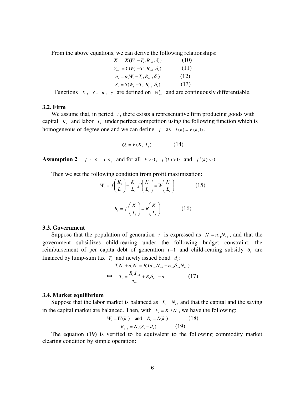From the above equations, we can derive the following relationships:

$$
X_{t} = X(W_{t} - T_{t}, R_{t+1}, \delta_{t})
$$
\n
$$
Y_{t+1} = Y(W_{t} - T_{t}, R_{t+1}, \delta_{t})
$$
\n
$$
n_{t} = n(W_{t} - T_{t}, R_{t+1}, \delta_{t})
$$
\n
$$
S_{t} = S(W_{t} - T_{t}, R_{t+1}, \delta_{t})
$$
\n
$$
(13)
$$

Functions *X*, *Y*, *n*, *s* are defined on  $\mathbb{R}^3$  and are continuously differentiable.

### **3.2. Firm**

We assume that, in period  $t$ , there exists a representative firm producing goods with capital  $K<sub>t</sub>$  and labor  $L<sub>t</sub>$  under perfect competition using the following function which is homogeneous of degree one and we can define  $f$  as  $f(k) = F(k, 1)$ .

$$
Q_i = F(K_i, L_i) \tag{14}
$$

**Assumption 2**  $f : \mathbb{R}_+ \to \mathbb{R}_+$ , and for all  $k > 0$ ,  $f'(k) > 0$  and  $f''(k) < 0$ .

Then we get the following condition from profit maximization:

$$
W_{i} = f\left(\frac{K_{i}}{L_{i}}\right) - \frac{K_{i}}{L_{i}} f'\left(\frac{K_{i}}{L_{i}}\right) \equiv W\left(\frac{K_{i}}{L_{i}}\right)
$$
(15)  

$$
R_{i} = f'\left(\frac{K_{i}}{L_{i}}\right) \equiv R\left(\frac{K_{i}}{L_{i}}\right)
$$

#### **3.3. Government**

Suppose that the population of generation *t* is expressed as  $N_t = n_{t-1}N_{t-1}$ , and that the government subsidizes child-rearing under the following budget constraint: the reimbursement of per capita debt of generation  $t-1$  and child-rearing subsidy  $\delta_t$  are financed by lump-sum tax  $T<sub>i</sub>$  and newly issued bond  $d<sub>i</sub>$ :

$$
T_{t}N_{t} + d_{t}N_{t} = R_{t}(d_{t-1}N_{t-1} + n_{t-1}\delta_{t-1}N_{t-1})
$$
  
\n
$$
\Leftrightarrow T_{t} = \frac{R_{t}d_{t-1}}{n_{t-1}} + R_{t}\delta_{t-1} - d_{t}
$$
 (17)

#### **3.4. Market equilibrium**

Suppose that the labor market is balanced as  $L<sub>i</sub> = N<sub>i</sub>$ , and that the capital and the saving in the capital market are balanced. Then, with  $k_i = K_i/N_i$ , we have the following:

$$
W_{t} = W(k_{t}) \text{ and } R_{t} = R(k_{t})
$$
 (18)  

$$
K_{t+1} = N_{t}(S_{t} - d_{t})
$$
 (19)

The equation (19) is verified to be equivalent to the following commodity market clearing condition by simple operation: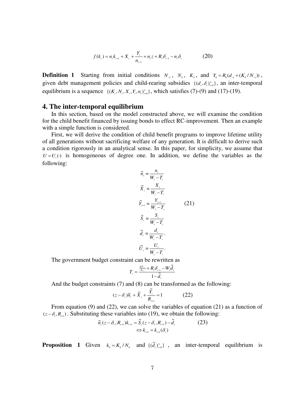$$
f(k_{i}) = n_{i}k_{i+1} + X_{i} + \frac{Y_{i}}{n_{i-1}} + n_{i}z + R_{i}\delta_{i-1} - n_{i}\delta_{i}
$$
 (20)

**Definition 1** Starting from initial conditions  $N_{-1}$ ,  $N_0$ ,  $K_0$ , and  $Y_0 = R_0(d_{-1} + (K_0/N_{-1}))$ , given debt management policies and child-rearing subsidies  $\{(d_i, \delta_i)_{i=0}^{\infty}\}\$ , an inter-temporal equilibrium is a sequence  $\{(K_r, N_r, X_r, Y_r, n_r)\}_{r=0}^{\infty}$ , which satisfies (7)-(9) and (17)-(19).

### **4. The inter-temporal equilibrium**

In this section, based on the model constructed above, we will examine the condition for the child benefit financed by issuing bonds to effect RC-improvement. Then an example with a simple function is considered.

First, we will derive the condition of child benefit programs to improve lifetime utility of all generations without sacrificing welfare of any generation. It is difficult to derive such a condition rigorously in an analytical sense. In this paper, for simplicity, we assume that  $U = U<sub>t</sub>(.)$  is homogeneous of degree one. In addition, we define the variables as the following:

$$
\widetilde{n}_i = \frac{n_i}{W_i - T_i}
$$
\n
$$
\widetilde{X}_i = \frac{X_i}{W_i - T_i}
$$
\n
$$
\widetilde{Y}_{i+1} = \frac{Y_{i+1}}{W_i - T_i}
$$
\n
$$
\widetilde{S}_i = \frac{S_i}{W_i - T_i}
$$
\n
$$
\widetilde{d}_i = \frac{d_i}{W_i - T_i}.
$$
\n
$$
\widetilde{U}_i = \frac{U_i}{W_i - T_i}.
$$
\nint can be rewritten as

The government budget constraint can be rewritten as

$$
T_{t} = \frac{\frac{R_{t} \tilde{d}_{t-1}}{\tilde{n}_{t-1}} + R_{t} \delta_{t-1} - W_{t} \tilde{d}_{t}}{1 - \tilde{d}_{t}}
$$

And the budget constraints (7) and (8) can be transformed as the following:

$$
(z - \delta_i)\widetilde{n}_i + \widetilde{X}_i + \frac{\widetilde{Y}_i}{R_{i+1}} = 1
$$
 (22)

From equation (9) and (22), we can solve the variables of equation (21) as a function of  $(z - \delta_{i}, R_{i+1})$ . Substituting these variables into (19), we obtain the following:

$$
\tilde{n}_{i}(z-\delta_{i},R_{i+1})k_{i+1} = \tilde{S}_{i}(z-\delta_{i},R_{i+1}) - \tilde{d}_{i}
$$
\n
$$
\Leftrightarrow k_{i+1} = k_{i+1}(\delta_{i})
$$
\n(23)

**Proposition 1** Given  $k_0 = K_0 / N_0$  and  $\{(\tilde{d}_i)_{i=0}^{\infty}\}$ , an inter-temporal equilibrium is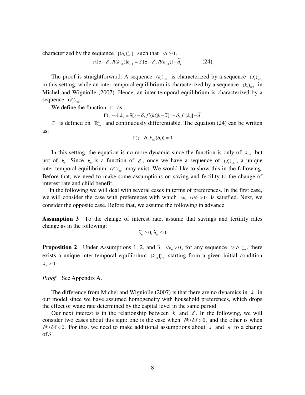characterized by the sequence  $\{(\delta_t)_{t=0}^{\infty}\}\$  such that  $\forall t \geq 0$ ,

$$
\widetilde{n}_{i}[z-\delta_{i},R(k_{i+1})]k_{i+1} = \widetilde{S}_{i}[z-\delta_{i},R(k_{i+1})] - \widetilde{d}_{i}
$$
\n(24)

The proof is straightforward. A sequence  $(k_i)_{i \geq 0}$  is characterized by a sequence  $(\delta_i)_{i \geq 0}$ in this setting, while an inter-temporal equilibrium is characterized by a sequence  $(k_i)_{i \geq 0}$  in Michel and Wigniolle (2007). Hence, an inter-temporal equilibrium is characterized by a sequence  $(\delta_t)_{t\geq 0}$ .

We define the function  $\Gamma$  as:

 $\Gamma(z-\delta,k) = \tilde{n}[z-\delta, f'(k)]k - \tilde{s}[z-\delta, f'(k)] - \tilde{d}$ 

 $\Gamma$  is defined on  $\mathbb{R}^2$  and continuously differentiable. The equation (24) can be written as:

$$
\Gamma(z-\delta_{t},k_{t+1}(\delta_{t}))=0
$$

In this setting, the equation is no more dynamic since the function is only of  $k_{n+1}$  but not of  $k_i$ . Since  $k_{i+1}$  is a function of  $\delta_i$ , once we have a sequence of  $(\delta_i)_{i\geq0}$ , a unique inter-temporal equilibrium  $(\delta_i)_{i=0}$  may exist. We would like to show this in the following. Before that, we need to make some assumptions on saving and fertility to the change of interest rate and child benefit.

In the following we will deal with several cases in terms of preferences. In the first case, we will consider the case with preferences with which  $\partial k_{\mu} / \partial \delta_{\tau} > 0$  is satisfied. Next, we consider the opposite case. Before that, we assume the following in advance.

**Assumption 3** To the change of interest rate, assume that savings and fertility rates change as in the following:

 $\widetilde{s}_R \geq 0$ ,  $\widetilde{n}_R \leq 0$ 

**Proposition 2** Under Assumptions 1, 2, and 3,  $\forall k_0 > 0$ , for any sequence  $\forall {\{\delta_i\}}_{i=0}^{\infty}$ , there exists a unique inter-temporal equilibrium  $\{k_{i+1}\}_{i=0}^{\infty}$  starting from a given initial condition  $k_0 > 0$ .

*Proof* See Appendix A.

The difference from Michel and Wigniolle (2007) is that there are no dynamics in  $k$  in our model since we have assumed homogeneity with household preferences, which drops the effect of wage rate determined by the capital level in the same period.

Our next interest is in the relationship between  $k$  and  $\delta$ . In the following, we will consider two cases about this sign: one is the case when  $\partial k / \partial \delta > 0$ , and the other is when  $\partial k / \partial \delta$  < 0. For this, we need to make additional assumptions about *s* and *n* to a change of  $\delta$  .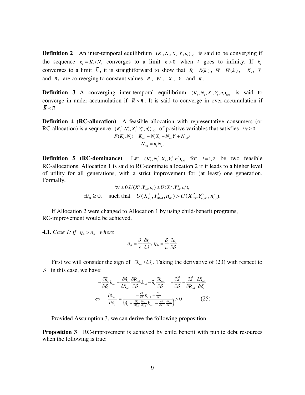**Definition 2** An inter-temporal equilibrium  $(K_1, N_1, X_1, Y_1, n_1)_{n \geq 0}$  is said to be converging if the sequence  $k_i = K_i/N_i$  converges to a limit  $\bar{k} > 0$  when *t* goes to infinity. If  $k_i$ converges to a limit  $\bar{k}$ , it is straightforward to show that  $R_i = R(k_i)$ ,  $W_i = W(k_i)$ ,  $X_i$ ,  $Y_i$ and  $n_t$  are converging to constant values  $\overline{R}$ ,  $\overline{W}$ ,  $\overline{X}$ ,  $\overline{Y}$  and  $\overline{n}$ .

**Definition 3** A converging inter-temporal equilibrium  $(K_1, N_1, X_1, Y_1, n_1)_{n \geq 0}$  is said to converge in under-accumulation if  $\bar{R} > \bar{n}$ . It is said to converge in over-accumulation if  $\overline{R}$  <  $\overline{n}$  .

**Definition 4 (RC-allocation)** A feasible allocation with representative consumers (or RC-allocation) is a sequence  $(K_t^i, N_t^i, X_t^i, Y_t^i, n_t^i)_{n\geq 0}$  of positive variables that satisfies  $\forall t \geq 0$ :

$$
F(K_{t}, N_{t}) = K_{t+1} + N_{t}X_{t} + N_{t-1}Y_{t} + N_{t+1}Z_{t}
$$

$$
N_{t+1} = n_{t}N_{t}.
$$

**Definition 5 (RC-dominance)**  $(K_i^i, N_i^i, X_i^i, Y_i^i, n_i^i)_{i \geq 0}$  for  $i = 1, 2$  be two feasible RC-allocations. Allocation 1 is said to RC-dominate allocation 2 if it leads to a higher level of utility for all generations, with a strict improvement for (at least) one generation. Formally,

$$
\forall t \ge 0, U(X_t^1, Y_{t+1}^1, n_t^1) \ge U(X_t^2, Y_{t+1}^2, n_t^2),
$$
  

$$
\exists t_0 \ge 0, \quad \text{such that} \quad U(X_{t0}^1, Y_{t0+1}^1, n_{t0}^1) > U(X_{t0}^2, Y_{t0+1}^2, n_{t0}^2).
$$

If Allocation 2 were changed to Allocation 1 by using child-benefit programs, RC-improvement would be achieved.

**4.1.** *Case 1: if*  $\eta_s > \eta_s$  *where* 

$$
\eta_{\delta s} \equiv \frac{\delta_{r}}{s_{t}} \frac{\partial s_{t}}{\partial \delta_{t}}, \eta_{\delta n} \equiv \frac{\delta_{r}}{n_{t}} \frac{\partial n_{t}}{\partial \delta_{t}}
$$

First we will consider the sign of  $\partial k_{\mu}$  1  $\partial \delta_{\mu}$ . Taking the derivative of (23) with respect to  $\delta_i$  in this case, we have:

$$
\frac{\partial \widetilde{n}_{i}}{\partial \delta_{i}} k_{i+1} - \frac{\partial \widetilde{n}_{i}}{\partial R_{i+1}} \frac{\partial R_{i+1}}{\partial \delta_{i}} k_{i+1} - \widetilde{n}_{i} \frac{\partial \widetilde{k}_{i+1}}{\partial \delta_{i}} = -\frac{\partial \widetilde{S}_{i}}{\partial \delta_{i}} - \frac{\partial \widetilde{S}_{i}}{\partial R_{i+1}} \frac{\partial R_{i+1}}{\partial \delta_{i}}
$$
  

$$
\Leftrightarrow \frac{\partial k_{i+1}}{\partial \delta_{i}} = \frac{-\frac{\partial \widetilde{n}_{i}}{\partial \delta_{i}} k_{i+1} + \frac{\partial \widetilde{S}_{i}}{\partial \delta_{i}}}{\left(\widetilde{n}_{i} + \frac{\partial \widetilde{n}_{i}}{\partial R_{i+1}} \frac{\partial R_{i+1}}{\partial k_{i+1}} k_{i+1} - \frac{\partial \widetilde{S}_{i}}{\partial R_{i+1}} \frac{\partial R_{i+1}}{\partial k_{i+1}}\right)} > 0
$$
(25)

Provided Assumption 3, we can derive the following proposition.

**Proposition 3** RC-improvement is achieved by child benefit with public debt resources when the following is true: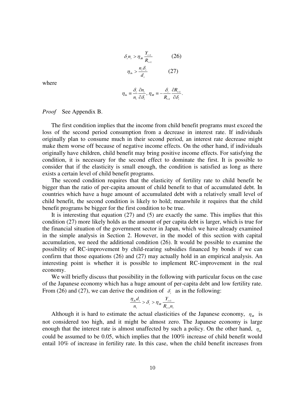$$
\delta_{i} n_{i} > \eta_{\mathcal{R}} \frac{Y_{t+1}}{R_{t+1}}
$$
\n
$$
\eta_{\mathcal{S}_n} > \frac{n_{i} \delta_{i}}{d_{i}}
$$
\n
$$
(27)
$$

where

$$
\eta_{\delta i} \equiv \frac{\delta_{i}}{n_{i}} \frac{\partial n_{i}}{\partial \delta_{i}}, \eta_{\delta k} \equiv -\frac{\delta_{i}}{R_{i+1}} \frac{\partial R_{i+1}}{\partial \delta_{i}}.
$$

#### *Proof* See Appendix B.

The first condition implies that the income from child benefit programs must exceed the loss of the second period consumption from a decrease in interest rate. If individuals originally plan to consume much in their second period, an interest rate decrease might make them worse off because of negative income effects. On the other hand, if individuals originally have children, child benefit may bring positive income effects. For satisfying the condition, it is necessary for the second effect to dominate the first. It is possible to consider that if the elasticity is small enough, the condition is satisfied as long as there exists a certain level of child benefit programs.

The second condition requires that the elasticity of fertility rate to child benefit be bigger than the ratio of per-capita amount of child benefit to that of accumulated debt. In countries which have a huge amount of accumulated debt with a relatively small level of child benefit, the second condition is likely to hold; meanwhile it requires that the child benefit programs be bigger for the first condition to be true.

It is interesting that equation (27) and (5) are exactly the same. This implies that this condition (27) more likely holds as the amount of per capita debt is larger, which is true for the financial situation of the government sector in Japan, which we have already examined in the simple analysis in Section 2. However, in the model of this section with capital accumulation, we need the additional condition (26). It would be possible to examine the possibility of RC-improvement by child-rearing subsidies financed by bonds if we can confirm that those equations (26) and (27) may actually hold in an empirical analysis. An interesting point is whether it is possible to implement RC-improvement in the real economy.

We will briefly discuss that possibility in the following with particular focus on the case of the Japanese economy which has a huge amount of per-capita debt and low fertility rate. From (26) and (27), we can derive the condition of  $\delta_i$  as in the following:

$$
\frac{\eta_{\delta n}d_{t}}{n_{t}} > \delta_{t} > \eta_{\delta R} \frac{Y_{t+1}}{R_{t+1}n_{t}}
$$

Although it is hard to estimate the actual elasticities of the Japanese economy,  $\eta_{\alpha}$  is not considered too high, and it might be almost zero. The Japanese economy is large enough that the interest rate is almost unaffected by such a policy. On the other hand,  $\eta_{\hat{\phi}}$ could be assumed to be 0.05, which implies that the 100% increase of child benefit would entail 10% of increase in fertility rate. In this case, when the child benefit increases from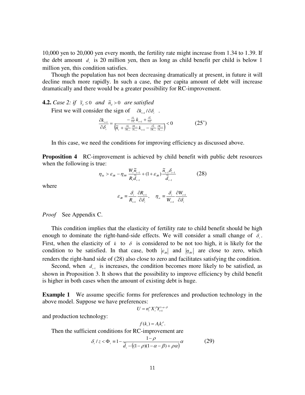10,000 yen to 20,000 yen every month, the fertility rate might increase from 1.34 to 1.39. If the debt amount  $d_i$ , is 20 million yen, then as long as child benefit per child is below 1 million yen, this condition satisfies.

Though the population has not been decreasing dramatically at present, in future it will decline much more rapidly. In such a case, the per capita amount of debt will increase dramatically and there would be a greater possibility for RC-improvement.

### **4.2.** *Case* 2: if  $\tilde{s}_s \leq 0$  *and*  $\tilde{n}_s > 0$  *are satisfied*

First we will consider the sign of  $\partial k_{t+1}/\partial \delta_t$ .

$$
\frac{\partial k_{t+1}}{\partial \delta_t} = \frac{-\frac{\partial \tilde{n}_t}{\partial \delta_t} k_{t+1} + \frac{\partial \tilde{S}_t}{\partial \delta_t}}{\left(\tilde{n}_t + \frac{\partial \tilde{n}_t}{\partial k_{t+1}} \frac{\partial R_{t+1}}{\partial k_{t+1}} k_{t+1} - \frac{\partial \tilde{S}_t}{\partial k_{t+1}} \frac{\partial R_{t+1}}{\partial k_{t+1}}\right)} < 0
$$
\n(25')

In this case, we need the conditions for improving efficiency as discussed above.

**Proposition 4** RC-improvement is achieved by child benefit with public debt resources when the following is true:

$$
\eta_{\delta n} > \varepsilon_{\Re} - \eta_{\Re\nu} \frac{W_i \tilde{n}_{i-1}}{R_i \tilde{d}_{i-1}} + (1 + \varepsilon_{\Re}) \frac{\tilde{n}_{i-1} \delta_{i-1}}{\tilde{d}_{i-1}}
$$
(28)

where

$$
\varepsilon_{\Re} \equiv \frac{\delta_{\rm r}}{R_{\rm r+1}} \frac{\partial R_{\rm r+1}}{\partial \delta_{\rm r}}, \quad \eta_{\Re} \equiv \frac{\delta_{\rm r}}{W_{\rm r+1}} \frac{\partial W_{\rm r+1}}{\partial \delta_{\rm r}}
$$

*Proof* See Appendix C.

This condition implies that the elasticity of fertility rate to child benefit should be high enough to dominate the right-hand-side effects. We will consider a small change of  $\delta$ . First, when the elasticity of  $k$  to  $\delta$  is considered to be not too high, it is likely for the condition to be satisfied. In that case, both  $|\varepsilon_{\rm m}|$  and  $|\eta_{\rm sw}|$  are close to zero, which renders the right-hand side of (28) also close to zero and facilitates satisfying the condition.

Second, when  $d_{i-1}$  is increases, the condition becomes more likely to be satisfied, as shown in Proposition 3. It shows that the possibility to improve efficiency by child benefit is higher in both cases when the amount of existing debt is huge.

**Example 1** We assume specific forms for preferences and production technology in the above model. Suppose we have preferences:

$$
U=n_{\scriptscriptstyle t}^\alpha X_{\scriptscriptstyle t}^\beta Y_{\scriptscriptstyle t+1}^{1-\alpha-\beta}
$$

and production technology:

$$
f(k_{i})=A_{i}k_{i}^{\rho}.
$$

Then the sufficient conditions for RC-improvement are

$$
\delta_{i} / z < \Phi_{i} \equiv 1 - \frac{1 - \rho}{\tilde{d}_{i} - ((1 - \rho)(1 - \alpha - \beta) + \rho \alpha)} \alpha
$$
 (29)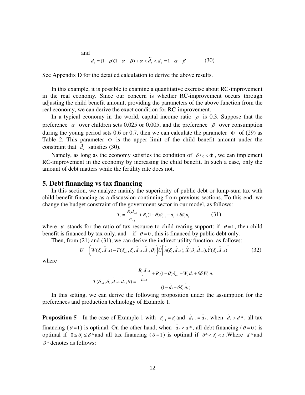and  

$$
d_1 = (1 - \rho)(1 - \alpha - \beta) + \alpha < \tilde{d}_1 < d_2 = 1 - \alpha - \beta \tag{30}
$$

See Appendix D for the detailed calculation to derive the above results.

In this example, it is possible to examine a quantitative exercise about RC-improvement in the real economy. Since our concern is whether RC-improvement occurs through adjusting the child benefit amount, providing the parameters of the above function from the real economy, we can derive the exact condition for RC-improvement.

In a typical economy in the world, capital income ratio  $\rho$  is 0.3. Suppose that the preference  $\alpha$  over children sets 0.025 or 0.005, and the preference  $\beta$  over consumption during the young period sets 0.6 or 0.7, then we can calculate the parameter  $\Phi$  of (29) as Table 2. This parameter  $\Phi$  is the upper limit of the child benefit amount under the constraint that  $\tilde{d}_i$  satisfies (30).

Namely, as long as the economy satisfies the condition of  $\delta/z < \Phi$ , we can implement RC-improvement in the economy by increasing the child benefit. In such a case, only the amount of debt matters while the fertility rate does not.

### **5. Debt financing vs tax financing**

In this section, we analyze mainly the superiority of public debt or lump-sum tax with child benefit financing as a discussion continuing from previous sections. To this end, we change the budget constraint of the government sector in our model, as follows:

$$
T_{i} = \frac{R_{i}d_{i-1}}{n_{i-1}} + R_{i}(1-\theta)\delta_{i-1} - d_{i} + \theta\delta_{i}n_{i}
$$
 (31)

where  $\theta$  stands for the ratio of tax resource to child-rearing support: if  $\theta = 1$ , then child benefit is financed by tax only, and if  $\theta = 0$ , this is financed by public debt only.

Then, from (21) and (31), we can derive the indirect utility function, as follows:

$$
U = \left(W(\delta_{\scriptscriptstyle{t}}, \tilde{d}_{\scriptscriptstyle{t-1}}) - T(\delta_{\scriptscriptstyle{t-1}}, \delta_{\scriptscriptstyle{t}}, \tilde{d}_{\scriptscriptstyle{t-1}}, \tilde{d}_{\scriptscriptstyle{t}}, \theta)\right) \tilde{U}\left[\tilde{n}(\delta_{\scriptscriptstyle{t}}, \tilde{d}_{\scriptscriptstyle{t-1}}), \tilde{X}(\delta_{\scriptscriptstyle{t}}, \tilde{d}_{\scriptscriptstyle{t-1}}), \tilde{Y}(\delta_{\scriptscriptstyle{t}}, \tilde{d}_{\scriptscriptstyle{t-1}})\right]
$$
(32)

*t*

 where

$$
T(\delta_{i-1}, \delta_i, \tilde{d}_{i-1}, \tilde{d}_i, \theta) = \frac{R_i \tilde{d}_{i-1}}{1 - \tilde{d}_{i-1} + R_i (1 - \theta) \delta_{i-1} - W_i \tilde{d}_i + \theta \delta_i W_i \tilde{n}_i}
$$

 In this setting, we can derive the following proposition under the assumption for the preferences and production technology of Example 1.

**Proposition 5** In the case of Example 1 with  $\delta_{t-1} = \delta_t$  and  $\tilde{d}_{t-1} = \tilde{d}_t$ 1  $\tilde{d}_{t-1} = \tilde{d}_t$ , when  $\tilde{d}_t > d^*$ , all tax financing ( $\theta = 1$ ) is optimal. On the other hand, when  $\bar{d}_t < d^*$ , all debt financing ( $\theta = 0$ ) is optimal if  $0 \le \delta \le \delta^*$  and all tax financing ( $\theta = 1$ ) is optimal if  $\delta^* < \delta \le \epsilon$ . Where  $d^*$  and  $\delta^*$  denotes as follows: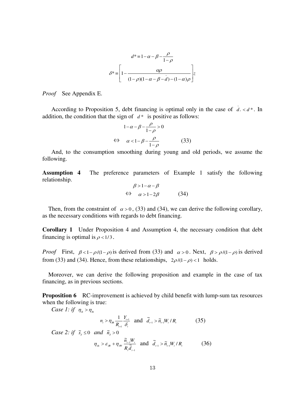$$
d^* = 1 - \alpha - \beta - \frac{\rho}{1 - \rho}
$$

$$
\delta^* = \left[ 1 - \frac{\alpha \rho}{(1 - \rho)(1 - \alpha - \beta - d) - (1 - \alpha)\rho} \right] z
$$

*Proof* See Appendix E.

According to Proposition 5, debt financing is optimal only in the case of  $\tilde{d}_t < d^*$ . In addition, the condition that the sign of  $d^*$  is positive as follows:

$$
1 - \alpha - \beta - \frac{\rho}{1 - \rho} > 0
$$
  
\n
$$
\Leftrightarrow \alpha < 1 - \beta - \frac{\rho}{1 - \rho}
$$
 (33)

And, to the consumption smoothing during young and old periods, we assume the following.

**Assumption 4** The preference parameters of Example 1 satisfy the following relationship.

$$
\beta > 1 - \alpha - \beta
$$
  
\n
$$
\Leftrightarrow \alpha > 1 - 2\beta
$$
 (34)

Then, from the constraint of  $\alpha > 0$ , (33) and (34), we can derive the following corollary, as the necessary conditions with regards to debt financing.

**Corollary 1** Under Proposition 4 and Assumption 4, the necessary condition that debt financing is optimal is  $\rho < 1/3$ .

*Proof* First,  $\beta < 1 - \rho/(1 - \rho)$  is derived from (33) and  $\alpha > 0$ . Next,  $\beta > \rho/(1 - \rho)$  is derived from (33) and (34). Hence, from these relationships,  $2\rho/(1-\rho) < 1$  holds.

 Moreover, we can derive the following proposition and example in the case of tax financing, as in previous sections.

**Proposition 6** RC-improvement is achieved by child benefit with lump-sum tax resources when the following is true:

*Case 1: if*  $\eta_{\delta} > \eta_{\delta}$ 

$$
n_{\scriptscriptstyle \ell} > \eta_{\scriptscriptstyle \mathcal{R}} \frac{1}{R_{\scriptscriptstyle \ell+1}} \frac{Y_{\scriptscriptstyle \ell+1}}{\delta_{\scriptscriptstyle \ell}} \quad \text{and} \quad \widetilde{d}_{\scriptscriptstyle \ell-1} > \widetilde{n}_{\scriptscriptstyle \ell-1} W_{\scriptscriptstyle \ell} / R_{\scriptscriptstyle \ell} \tag{35}
$$

*Case 2: if*  $\tilde{s}_s \leq 0$  *and*  $\tilde{n}_s > 0$ 

$$
\eta_{\delta n} > \varepsilon_{\Re} + \eta_{\Re} \frac{\tilde{n}_{t-1} W_t}{R_t \tilde{d}_{t-1}} \quad \text{and} \quad \tilde{d}_{t-1} > \tilde{n}_{t-1} W_t / R_t \tag{36}
$$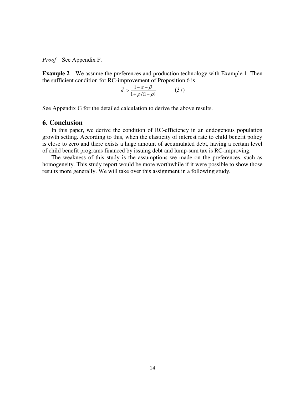*Proof* See Appendix F.

**Example 2** We assume the preferences and production technology with Example 1. Then the sufficient condition for RC-improvement of Proposition 6 is

$$
\tilde{d}_{\ell} > \frac{1 - \alpha - \beta}{1 + \rho/(1 - \rho)}\tag{37}
$$

See Appendix G for the detailed calculation to derive the above results.

### **6. Conclusion**

In this paper, we derive the condition of RC-efficiency in an endogenous population growth setting. According to this, when the elasticity of interest rate to child benefit policy is close to zero and there exists a huge amount of accumulated debt, having a certain level of child benefit programs financed by issuing debt and lump-sum tax is RC-improving.

The weakness of this study is the assumptions we made on the preferences, such as homogeneity. This study report would be more worthwhile if it were possible to show those results more generally. We will take over this assignment in a following study.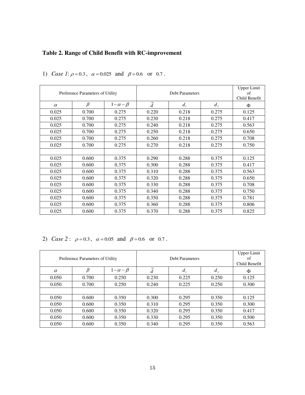### **Table 2. Range of Child Benefit with RC-improvement**

| Preference Parameters of Utility |         |                  | <b>Debt Parameters</b> |         |               | <b>Upper Limit</b><br>of<br>Child Benefit |
|----------------------------------|---------|------------------|------------------------|---------|---------------|-------------------------------------------|
| $\alpha$                         | $\beta$ | $1-\alpha-\beta$ | $\tilde{d}$            | $d_{1}$ | $d_{\lambda}$ | Ф                                         |
| 0.025                            | 0.700   | 0.275            | 0.220                  | 0.218   | 0.275         | 0.125                                     |
| 0.025                            | 0.700   | 0.275            | 0.230                  | 0.218   | 0.275         | 0.417                                     |
| 0.025                            | 0.700   | 0.275            | 0.240                  | 0.218   | 0.275         | 0.563                                     |
| 0.025                            | 0.700   | 0.275            | 0.250                  | 0.218   | 0.275         | 0.650                                     |
| 0.025                            | 0.700   | 0.275            | 0.260                  | 0.218   | 0.275         | 0.708                                     |
| 0.025                            | 0.700   | 0.275            | 0.270                  | 0.218   | 0.275         | 0.750                                     |
|                                  |         |                  |                        |         |               |                                           |
| 0.025                            | 0.600   | 0.375            | 0.290                  | 0.288   | 0.375         | 0.125                                     |
| 0.025                            | 0.600   | 0.375            | 0.300                  | 0.288   | 0.375         | 0.417                                     |
| 0.025                            | 0.600   | 0.375            | 0.310                  | 0.288   | 0.375         | 0.563                                     |
| 0.025                            | 0.600   | 0.375            | 0.320                  | 0.288   | 0.375         | 0.650                                     |
| 0.025                            | 0.600   | 0.375            | 0.330                  | 0.288   | 0.375         | 0.708                                     |
| 0.025                            | 0.600   | 0.375            | 0.340                  | 0.288   | 0.375         | 0.750                                     |
| 0.025                            | 0.600   | 0.375            | 0.350                  | 0.288   | 0.375         | 0.781                                     |
| 0.025                            | 0.600   | 0.375            | 0.360                  | 0.288   | 0.375         | 0.806                                     |
| 0.025                            | 0.600   | 0.375            | 0.370                  | 0.288   | 0.375         | 0.825                                     |

1) *Case 1*:  $\rho = 0.3$ ,  $\alpha = 0.025$  and  $\beta = 0.6$  or 0.7.

2) *Case* 2 :  $\rho = 0.3$ ,  $\alpha = 0.05$  and  $\beta = 0.6$  or 0.7.

| Preference Parameters of Utility |       |                  |             | <b>Upper Limit</b><br>of<br>Child Benefit |       |       |
|----------------------------------|-------|------------------|-------------|-------------------------------------------|-------|-------|
| $\alpha$                         | β     | $1-\alpha-\beta$ | $\tilde{d}$ | $d_{1}$                                   | d,    | Φ     |
| 0.050                            | 0.700 | 0.250            | 0.230       | 0.225                                     | 0.250 | 0.125 |
| 0.050                            | 0.700 | 0.250            | 0.240       | 0.225                                     | 0.250 | 0.300 |
|                                  |       |                  |             |                                           |       |       |
| 0.050                            | 0.600 | 0.350            | 0.300       | 0.295                                     | 0.350 | 0.125 |
| 0.050                            | 0.600 | 0.350            | 0.310       | 0.295                                     | 0.350 | 0.300 |
| 0.050                            | 0.600 | 0.350            | 0.320       | 0.295                                     | 0.350 | 0.417 |
| 0.050                            | 0.600 | 0.350            | 0.330       | 0.295                                     | 0.350 | 0.500 |
| 0.050                            | 0.600 | 0.350            | 0.340       | 0.295                                     | 0.350 | 0.563 |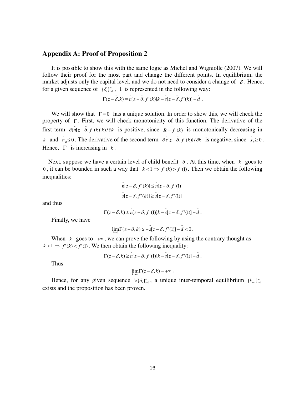### **Appendix A: Proof of Proposition 2**

It is possible to show this with the same logic as Michel and Wigniolle (2007). We will follow their proof for the most part and change the different points. In equilibrium, the market adjusts only the capital level, and we do not need to consider a change of  $\delta$ . Hence, for a given sequence of  $\{\delta_i\}_{i=0}^{\infty}$ ,  $\Gamma$  is represented in the following way:

 $\Gamma(z - \bar{\delta}, k) = n[z - \bar{\delta}, f'(k)]k - s[z - \bar{\delta}, f'(k)] - d$ .

We will show that  $\Gamma = 0$  has a unique solution. In order to show this, we will check the property of  $\Gamma$ . First, we will check monotonicity of this function. The derivative of the first term  $\partial (n[z - \delta, f'(k)]k)/\partial k$  is positive, since  $R = f'(k)$  is monotonically decreasing in *k* and  $n_k \leq 0$ . The derivative of the second term  $\partial s[z - \delta, f'(k)]/\partial k$  is negative, since  $s_k \geq 0$ . Hence,  $\Gamma$  is increasing in  $k$ .

Next, suppose we have a certain level of child benefit  $\delta$ . At this time, when  $k$  goes to 0, it can be bounded in such a way that  $k < 1 \Rightarrow f'(k) > f'(1)$ . Then we obtain the following inequalities:

$$
n[z - \delta, f'(k)] \le n[z - \delta, f'(1)]
$$
  

$$
s[z - \delta, f'(k)] \ge s[z - \delta, f'(1)]
$$

and thus

$$
\Gamma(z-\delta,k) \leq n[z-\delta, f'(1)]k - s[z-\delta, f'(1)] - d.
$$

Finally, we have

$$
\lim_{k\to 0} \Gamma(z-\delta,k) \leq -s[z-\delta, f'(1)] - d < 0.
$$

When  $k$  goes to  $+\infty$ , we can prove the following by using the contrary thought as  $k > 1 \Rightarrow f'(k) < f'(1)$ . We then obtain the following inequality:

$$
\Gamma(z-\delta,k) \geq n[z-\delta, f'(1)]k - s[z-\delta, f'(1)] - d.
$$

Thus

$$
\lim_{k\to\infty}\Gamma(z-\delta,k)=+\infty.
$$

Hence, for any given sequence  $\forall {\{\delta_i\}}_{i=0}^{\infty}$ , a unique inter-temporal equilibrium  $\{k_{i+1}\}_{i=0}^{\infty}$ exists and the proposition has been proven.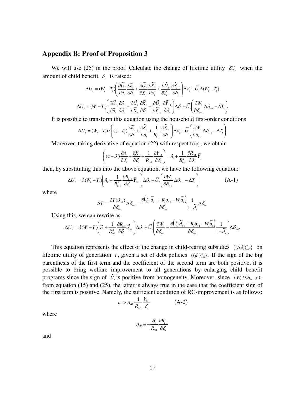### **Appendix B: Proof of Proposition 3**

We will use (25) in the proof. Calculate the change of lifetime utility  $\delta U_i$ , when the amount of child benefit  $\delta_i$  is raised:

$$
\Delta U_{_{\text{r}}}=(W_{_{\text{r}}}-T_{_{\text{r}}})\left(\frac{\partial \widetilde{U}_{_{\text{r}}}}{\partial \widetilde{n}_{_{\text{r}}}}\frac{\partial \widetilde{n}_{_{\text{r}}}}{\partial \mathcal{S}_{_{\text{r}}}}+\frac{\partial \widetilde{U}_{_{\text{r}}}}{\partial \widetilde{X}_{_{\text{r}}}}\frac{\partial \widetilde{X}_{_{\text{r}}}}{\partial \widetilde{Y}_{_{\text{r+1}}}}\frac{\partial \widetilde{U}_{_{\text{r}}}}{\partial \mathcal{S}_{_{\text{r}}}}\right)\Delta \mathcal{S}_{_{\text{r}}}+\widetilde{U}_{_{\text{r}}}\Delta (W_{_{\text{r}}}-T_{_{\text{r}}})\\ \Delta U_{_{\text{r}}}=(W_{_{\text{r}}}-T_{_{\text{r}}})\left(\frac{\partial \widetilde{U}_{_{\text{r}}}}{\partial \widetilde{n}_{_{\text{r}}}}\frac{\partial \widetilde{W}_{_{\text{r}}}}{\partial \mathcal{S}_{_{\text{r}}}}+\frac{\partial \widetilde{U}_{_{\text{r}}}}{\partial \widetilde{Y}_{_{\text{r}}}}\frac{\partial \widetilde{Y}_{_{\text{r}}}}{\partial \widetilde{Y}_{_{\text{r+1}}}}\frac{\partial \widetilde{V}_{_{\text{r}}}}{\partial \mathcal{S}_{_{\text{r}}}}\right)\Delta \mathcal{S}_{_{\text{r}}}+\widetilde{U}_{_{\text{r}}} \left(\frac{\partial W_{_{\text{r}}}}{\partial \mathcal{S}_{_{\text{r}-1}}}\Delta \mathcal{S}_{_{\text{r}-1}}-\Delta T_{_{\text{r}}}\right)
$$

.

.

It is possible to transform this equation using the household first-order conditions

$$
\Delta U_{t} = (W_{t} - T_{t})\lambda \left( (z - \delta_{t}) \frac{\partial \widetilde{n}_{t}}{\partial \delta_{t}} + \frac{\partial \widetilde{X}_{t}}{\partial \delta_{t}} + \frac{1}{R_{t+1}} \frac{\partial \widetilde{Y}_{t+1}}{\partial \delta_{t}} \right) \Delta \delta_{t} + \widetilde{U}_{t} \left( \frac{\partial W_{t}}{\partial \delta_{t-1}} \Delta \delta_{t-1} - \Delta T_{t} \right)
$$

Moreover, taking derivative of equation  $(22)$  with respect to  $\delta_t$ , we obtain

$$
\left( (z - \delta_i) \frac{\partial \widetilde{n}_{i}}{\partial \delta_i} + \frac{\partial \widetilde{X}_{i}}{\partial \delta_i} + \frac{1}{R_{i+1}} \frac{\partial \widetilde{Y}_{i+1}}{\partial \delta_i} \right) = \widetilde{n}_{i} + \frac{1}{R_{i+1}^2} \frac{\partial R_{i+1}}{\partial \delta_i} \widetilde{Y}_{i}
$$

then, by substituting this into the above equation, we have the following equation:

$$
\Delta U_{t} = \lambda (W_{t} - T_{t}) \left( \tilde{n}_{t} + \frac{1}{R_{t+1}^{2}} \frac{\partial R_{t+1}}{\partial \delta_{t}} \tilde{Y}_{t+1} \right) \Delta \delta_{t} + \tilde{U}_{t} \left( \frac{\partial W_{t}}{\partial \delta_{t-1}} \Delta \delta_{t-1} - \Delta T_{t} \right)
$$
(A-1)

where

$$
\Delta T_{\scriptscriptstyle \prime}=\frac{\partial T(\delta_{\scriptscriptstyle \prime-1})}{\partial\delta_{\scriptscriptstyle \prime-1}}\Delta\delta_{\scriptscriptstyle \prime-1}=\frac{\partial\Bigl(\frac{R_{\scriptscriptstyle \prime}}{\overline{q}_{\scriptscriptstyle \prime-1}}\widetilde{d}_{\scriptscriptstyle \prime-1}+R_{\scriptscriptstyle \prime}\delta_{\scriptscriptstyle \prime-1}-W_{\scriptscriptstyle \prime}\widetilde{d}_{\scriptscriptstyle \prime}\Bigr)}{ \partial\delta_{\scriptscriptstyle \prime-1}}\frac{1}{1-\widetilde{d}_{\scriptscriptstyle \prime}}\Delta\delta_{\scriptscriptstyle \prime-1}
$$

Using this, we can rewrite as

$$
\Delta U_{\scriptscriptstyle \prime} = \lambda (W_{\scriptscriptstyle \prime} - T_{\scriptscriptstyle \prime}) \Bigg( \widetilde{n}_{\scriptscriptstyle \prime} + \frac{1}{R_{\scriptscriptstyle \prime+1}^2} \frac{\partial R_{\scriptscriptstyle \prime+1}}{\partial \delta_{\scriptscriptstyle \prime}} \widetilde{Y}_{\scriptscriptstyle \prime+1} \Bigg) \Delta \delta_{\scriptscriptstyle \prime} + \widetilde{U}_{\scriptscriptstyle \prime} \Bigg( \frac{\partial W_{\scriptscriptstyle \prime}}{\partial \delta_{\scriptscriptstyle \prime-1}} - \frac{\partial \Big(\frac{R_{\scriptscriptstyle \prime}}{\overline{n}_{\scriptscriptstyle \prime+1}} \widetilde{d}_{\scriptscriptstyle \prime-1} + R_{\scriptscriptstyle \prime} \delta_{\scriptscriptstyle \prime-1} - W_{\scriptscriptstyle \prime} \widetilde{d}_{\scriptscriptstyle \prime} \Bigg)}{ \partial \delta_{\scriptscriptstyle \prime-1}} \Bigg) \Delta \delta_{\scriptscriptstyle \prime-1}.
$$

This equation represents the effect of the change in child-rearing subsidies  $\{(\Delta \delta_i)_{i=0}^{\infty}\}$  on lifetime utility of generation  $t$ , given a set of debt policies  $\{(d_t)_{t=0}^\infty\}$ . If the sign of the big parenthesis of the first term and the coefficient of the second term are both positive, it is possible to bring welfare improvement to all generations by enlarging child benefit programs since the sign of  $\tilde{U}_i$  is positive from homogeneity. Moreover, since  $\partial W_i / \partial \delta_{i-1} > 0$ from equation (15) and (25), the latter is always true in the case that the coefficient sign of the first term is positive. Namely, the sufficient condition of RC-improvement is as follows:

$$
n_{t} > \eta_{\Re} \frac{1}{R_{t+1}} \frac{Y_{t+1}}{\delta_{t}}
$$
 (A-2)

where

$$
\eta_{\scriptscriptstyle \cal R} \equiv -\frac{\delta_{\scriptscriptstyle \rm r}}{R_{\scriptscriptstyle \rm r+1}} \frac{\partial R_{\scriptscriptstyle \rm r+1}}{\partial \delta_{\scriptscriptstyle \rm r}}
$$

and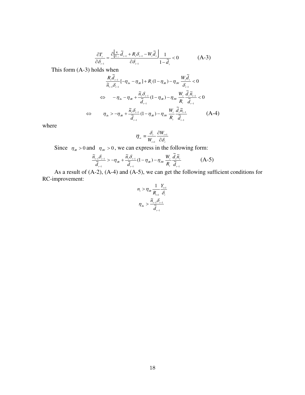$$
\frac{\partial T_{t}}{\partial \delta_{t-1}} = \frac{\partial \left[\frac{R_{t}}{R_{t-1}} \widetilde{d}_{t-1} + R_{t} \delta_{t-1} - W_{t} \widetilde{d}_{t}\right]}{\partial \delta_{t-1}} \frac{1}{1 - \widetilde{d}_{t}} < 0
$$
\n(A-3)

This form (A-3) holds when

$$
\frac{R_{i}\tilde{d}_{i-1}}{\tilde{n}_{i-1}\delta_{i-1}}[-\eta_{\tilde{m}}-\eta_{\tilde{m}}]+R_{i}(1-\eta_{\tilde{m}})-\eta_{\tilde{m}}\frac{W_{i}\tilde{d}_{i}}{\delta_{i-1}}<0
$$
\n
$$
\Leftrightarrow -\eta_{\tilde{m}}-\eta_{\tilde{m}}+\frac{\tilde{n}_{i}\delta_{i-1}}{\tilde{d}_{i-1}}(1-\eta_{\tilde{m}})-\eta_{\tilde{m}}\frac{W_{i}}{R_{i}}\frac{\tilde{d}_{i}\tilde{n}_{i-1}}{\tilde{d}_{i-1}}<0
$$
\n
$$
\Leftrightarrow \eta_{\tilde{m}}>\eta_{\tilde{m}}+\frac{\tilde{n}_{i}\delta_{i-1}}{\tilde{d}_{i-1}}(1-\eta_{\tilde{m}})-\eta_{\tilde{m}}\frac{W_{i}}{R_{i}}\frac{\tilde{d}_{i}\tilde{n}_{i-1}}{\tilde{d}_{i-1}} \qquad (A-4)
$$

where

$$
\boldsymbol{\eta}_{\mathrm{w}}\equiv\frac{\delta_{\mathrm{r}}}{W_{\mathrm{r}+1}}\frac{\partial W_{\mathrm{r}+1}}{\partial\delta_{\mathrm{r}}}
$$

Since  $\eta_{\alpha} > 0$  and  $\eta_{\alpha} > 0$ , we can express in the following form:

$$
\frac{\widetilde{n}_{_{t-1}}\delta_{_{t-1}}}{\widetilde{d}_{_{t-1}}} > -\eta_{_{\mathcal{R}\!k}} + \frac{\widetilde{n}_{_{t}}\delta_{_{t-1}}}{\widetilde{d}_{_{t-1}}}(1-\eta_{_{\mathcal{R}\!k}}) - \eta_{_{\mathcal{S}\!W}}\frac{W_{_{t}}}{R_{_{t}}}\frac{\widetilde{d}_{_{t}}\widetilde{n}_{_{t}}}{\widetilde{d}_{_{t-1}}} \tag{A-5}
$$

As a result of (A-2), (A-4) and (A-5), we can get the following sufficient conditions for RC-improvement:

$$
n_{i} > \eta_{\mathcal{R}} \frac{1}{R_{i+1}} \frac{Y_{i+1}}{\delta_{i}}
$$

$$
\eta_{\mathcal{S}n} > \frac{\widetilde{n}_{i-1} \delta_{i-1}}{\widetilde{d}_{i-1}}
$$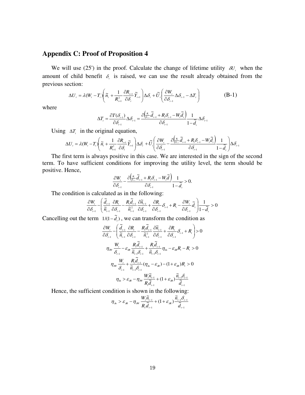### **Appendix C: Proof of Proposition 4**

We will use (25') in the proof. Calculate the change of lifetime utility  $\delta U_i$ , when the amount of child benefit  $\delta$ , is raised, we can use the result already obtained from the previous section:

$$
\Delta U_{t} = \lambda (W_{t} - T_{t}) \left( \tilde{n}_{t} + \frac{1}{R_{t+1}^{2}} \frac{\partial R_{t+1}}{\partial \delta_{t}} \tilde{Y}_{t+1} \right) \Delta \delta_{t} + \tilde{U}_{t} \left( \frac{\partial W_{t}}{\partial \delta_{t-1}} \Delta \delta_{t-1} - \Delta T_{t} \right)
$$
(B-1)

where

$$
\Delta T_{\text{\tiny{I}}}=\frac{\partial T(\delta_{\text{\tiny{I}-1}})}{\partial \delta_{\text{\tiny{I}-1}}}\Delta \delta_{\text{\tiny{I}-1}}=\frac{\partial\Bigl(\frac{R_{\text{\tiny{I}}}}{\tilde{q}_{\text{\tiny{I}-1}}}\tilde{\tilde{d}}_{\text{\tiny{I}-1}}+R_{\text{\tiny{I}}}\delta_{\text{\tiny{I}-1}}-W_{\text{\tiny{I}}}\tilde{\tilde{d}}_{\text{\tiny{I}}}\Bigr)}{2\delta_{\text{\tiny{I}-1}}}\frac{1}{1-\tilde{\tilde{d}}_{\text{\tiny{I}}}}\Delta \delta_{\text{\tiny{I}-1}}
$$

Using  $\Delta T$ , in the original equation,

$$
\Delta U_{_{\text{r}}}=\lambda(W_{_{\text{r}}}-T_{_{\text{r}}})\Bigg(\widetilde{n}_{_{\text{r}}}+\frac{1}{R_{_{\text{r}+1}}^2}\frac{\partial R_{_{\text{r}+1}}}{\partial \delta_{_{\text{r}}}}\widetilde{Y}_{_{\text{r}+1}}\Bigg)\Delta \delta_{_{\text{r}}}+\widetilde{U}_{_{\text{r}}}\Bigg(\frac{\partial W_{_{\text{r}}}}{\partial \delta_{_{\text{r}-1}}}-\frac{\partial \Big(\frac{R_{_{\text{r}}}}{\widetilde{n}_{_{\text{r}-1}}}\widetilde{d}_{_{\text{r}-1}}+R_{_{\text{r}}}\delta_{_{\text{r}-1}}-W_{_{\text{r}}}\widetilde{d}_{_{\text{r}}}\Bigg)}{2\delta_{_{\text{r}-1}}}\frac{1}{1-\widetilde{d}_{_{\text{r}}}}\Bigg)\Delta \delta_{_{\text{r}-1}}
$$

The first term is always positive in this case. We are interested in the sign of the second term. To have sufficient conditions for improving the utility level, the term should be positive. Hence,

$$
\frac{\partial W_{_{\boldsymbol{I}}}}{\partial\delta_{_{\boldsymbol{I}-1}}}-\frac{\partial\Big(\frac{R_{\boldsymbol{I}}}{\widetilde{R}_{i-1}}\widetilde{\boldsymbol{d}}_{_{\boldsymbol{I}-1}}+R_{\boldsymbol{I}}\delta_{_{\boldsymbol{I}-1}}-W_{_{\boldsymbol{I}}}\widetilde{\boldsymbol{d}}\Big)}{\partial\delta_{_{\boldsymbol{I}-1}}}\frac{1}{1-\widetilde{\boldsymbol{d}}_{_{\boldsymbol{I}}}}>0.
$$

The condition is calculated as in the following:

$$
\frac{\partial W_{\text{r}}}{\partial \delta_{\text{r}-1}}-\left(\frac{\widetilde{d}_{\text{r}-1}}{\widetilde{n}_{\text{r}-1}}\frac{\partial R_{\text{r}}}{\partial \delta_{\text{r}-1}}-\frac{R_{\text{r}}\widetilde{d}_{\text{r}-1}}{\widetilde{n}_{\text{r}-1}^2}\frac{\partial \widetilde{n}_{\text{r}-1}}{\partial \delta_{\text{r}-1}}+\frac{\partial R_{\text{r}}}{\partial \delta_{\text{r}-1}}\delta_{\text{r}-1}+R_{\text{r}}-\frac{\partial W_{\text{r}}}{\partial \delta_{\text{r}-1}}\widetilde{d}_{\text{r}}\right)\frac{1}{1-\widetilde{d}_{\text{r}}}>0
$$

Cancelling out the term  $1/(1 - \tilde{d}_t)$ , we can transform the condition as

$$
\frac{\partial W_{i}}{\partial \delta_{i-1}} - \left( \frac{\tilde{d}_{i-1}}{\tilde{n}_{i-1}} \frac{\partial R_{i}}{\partial \delta_{i-1}} - \frac{R_{i} \tilde{d}_{i-1}}{\tilde{n}_{i-1}^2} \frac{\partial \tilde{n}_{i-1}}{\partial \delta_{i-1}} + \frac{\partial R_{i}}{\partial \delta_{i-1}} \delta_{i-1} + R_{i} \right) > 0
$$
\n
$$
\eta_{\text{av}} \frac{W_{i}}{\delta_{i-1}} - \varepsilon_{\text{av}} \frac{R_{i} \tilde{d}_{i-1}}{\tilde{n}_{i-1} \delta_{i-1}} + \frac{R_{i} \tilde{d}_{i-1}}{\tilde{n}_{i-1} \delta_{i-1}} \eta_{\text{av}} - \varepsilon_{\text{av}} R_{i} - R_{i} > 0
$$
\n
$$
\eta_{\text{av}} \frac{W_{i}}{\delta_{i-1}} + \frac{R_{i} \tilde{d}_{i-1}}{\tilde{n}_{i-1} \delta_{i-1}} (\eta_{\text{av}} - \varepsilon_{\text{av}}) - (1 + \varepsilon_{\text{av}}) R_{i} > 0
$$
\n
$$
\eta_{\text{av}} > \varepsilon_{\text{av}} - \eta_{\text{av}} \frac{W_{i} \tilde{n}_{i-1}}{R_{i} \tilde{d}_{i-1}} + (1 + \varepsilon_{\text{av}}) \frac{\tilde{n}_{i-1} \tilde{\delta}_{i-1}}{\tilde{d}_{i-1}}
$$

Hence, the sufficient condition is shown in the following:

$$
\eta_{\hat{m}} > \varepsilon_{\text{av}} - \eta_{\text{aw}} \frac{W_{\iota} \widetilde{n}_{\iota-1}}{R_{\iota} \widetilde{d}_{\iota-1}} + (1 + \varepsilon_{\text{av}}) \frac{\widetilde{n}_{\iota-1} \widetilde{\delta}_{\iota-1}}{\widetilde{d}_{\iota-1}}
$$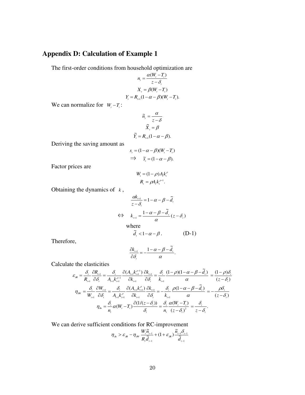### **Appendix D: Calculation of Example 1**

The first-order conditions from household optimization are

$$
n_{i} = \frac{\alpha(W_{i} - T_{i})}{z - \delta_{i}}
$$

$$
X_{i} = \beta(W_{i} - T_{i})
$$

$$
Y_{i} = R_{i+1}(1 - \alpha - \beta)(W_{i} - T_{i}).
$$

We can normalize for  $W_t - T_t$ :

$$
\widetilde{n}_{i} = \frac{\alpha}{z - \delta}
$$

$$
\widetilde{X}_{i} = \beta
$$

$$
\widetilde{Y}_{i} = R_{i+1}(1 - \alpha - \beta).
$$

Deriving the saving amount as

$$
s_{i} = (1 - \alpha - \beta)(W_{i} - T_{i})
$$
  
\n
$$
\Rightarrow \tilde{s}_{i} = (1 - \alpha - \beta).
$$

Factor prices are

$$
W_{t} = (1 - \rho) A_{t} k_{t}^{\rho}
$$

$$
R_{t} = \rho A_{t} k_{t}^{\rho - 1}.
$$

Obtaining the dynamics of  $k$ ,

$$
\frac{\alpha k_{\text{H}}}{z - \delta_{\text{i}}} = 1 - \alpha - \beta - \tilde{d}_{\text{i}}
$$
\n
$$
\Leftrightarrow k_{\text{H}} = \frac{1 - \alpha - \beta - \tilde{d}_{\text{i}}}{\alpha} (z - \delta_{\text{i}})
$$
\nwhere

\n
$$
\tilde{d}_{\text{i}} < 1 - \alpha - \beta. \tag{D-1}
$$

Therefore,

$$
\frac{\partial k_{\scriptscriptstyle\mu\alpha}}{\partial \delta_{\scriptscriptstyle\mu}} = -\frac{1 - \alpha - \beta - \widetilde{d}_{\scriptscriptstyle\mu}}{\alpha}.
$$

Calculate the elasticities

$$
\varepsilon_{\mathcal{R}} = \frac{\delta_{\iota}}{R_{\iota+1}} \frac{\partial R_{\iota+1}}{\partial \delta_{\iota}} = \frac{\delta_{\iota}}{A_{\iota+1}k_{\iota+1}^{\rho-1}} \frac{\partial (A_{\iota+1}k_{\iota+1}^{\rho-1})}{\partial \delta_{\iota}} \frac{\partial k_{\iota+1}}{\partial \delta_{\iota}} = \frac{\delta_{\iota}}{k_{\iota+1}} \frac{(1-\rho)(1-\alpha-\beta-\widetilde{d}_{\iota})}{\alpha} = \frac{(1-\rho)\delta_{\iota}}{(z-\delta_{\iota})}
$$

$$
\eta_{\mathcal{S}W} = \frac{\delta_{\iota}}{W_{\iota+1}} \frac{\partial W_{\iota+1}}{\partial \delta_{\iota}} = \frac{\delta_{\iota}}{A_{\iota+1}k_{\iota+1}^{\rho}} \frac{\partial (A_{\iota+1}k_{\iota+1}^{\rho})}{\partial \delta_{\iota}} \frac{\partial k_{\iota+1}}{\partial \delta_{\iota}} = -\frac{\delta_{\iota}}{k_{\iota+1}} \frac{\rho(1-\alpha-\beta-\widetilde{d}_{\iota})}{\alpha} = -\frac{\rho \delta_{\iota}}{(z-\delta_{\iota})}
$$

$$
\eta_{\mathcal{S}W} = \frac{\delta_{\iota}}{n_{\iota}} \alpha(W_{\iota}-T_{\iota}) \frac{\partial (1/(z-\delta_{\iota}))}{\delta_{\iota}} = \frac{\delta_{\iota}}{n_{\iota}} \frac{\alpha(W_{\iota}-T_{\iota})}{(z-\delta_{\iota})^2} = \frac{\delta_{\iota}}{z-\delta_{\iota}}.
$$

We can derive sufficient conditions for RC-improvement

$$
\eta_{\hat{m}} > \varepsilon_{\Re} - \eta_{\Re} \frac{W_{i} \widetilde{n}_{t-1}}{R_{i} \widetilde{d}_{t-1}} + (1 + \varepsilon_{\Re}) \frac{\widetilde{n}_{t-1} \delta_{t-1}}{\widetilde{d}_{t-1}}
$$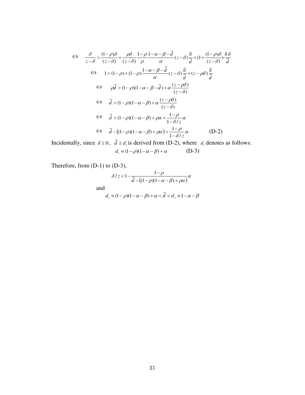$$
\Leftrightarrow \frac{\delta}{z-\delta} > \frac{(1-\rho)\delta}{(z-\delta)} + \frac{\rho\delta}{\rho} \frac{1-\rho}{\rho} \frac{1-\alpha-\beta-\tilde{d}}{\alpha} (z-\delta) \frac{\tilde{n}}{\tilde{d}} + (1+\frac{(1-\rho)\delta}{(z-\delta)}) \frac{\tilde{n}\delta}{\tilde{d}}
$$
  
\n
$$
\Leftrightarrow 1 > (1-\rho) + (1-\rho) \frac{1-\alpha-\beta-\tilde{d}}{\alpha} (z-\delta) \frac{\tilde{n}}{\tilde{d}} + (z-\rho\delta) \frac{\tilde{n}}{\tilde{d}}
$$
  
\n
$$
\Leftrightarrow \rho\tilde{d} > (1-\rho)(1-\alpha-\beta-\tilde{d}) + \alpha \frac{(z-\rho\delta)}{(z-\delta)}
$$
  
\n
$$
\Leftrightarrow \tilde{d} > (1-\rho)(1-\alpha-\beta) + \alpha \frac{(z-\rho\delta)}{(z-\delta)}
$$
  
\n
$$
\Leftrightarrow \tilde{d} > (1-\rho)(1-\alpha-\beta) + \rho\alpha + \frac{1-\rho}{1-\delta/z} \alpha
$$
  
\n
$$
\Leftrightarrow \tilde{d} - ((1-\rho)(1-\alpha-\beta) + \rho\alpha) > \frac{1-\rho}{1-\delta/z} \alpha
$$
 (D-2)

Incidentally, since  $\delta \ge 0$ ,  $\tilde{d} \ge d_1$  is derived from (D-2), where  $d_1$  denotes as follows:  $d_1 \equiv (1 - \rho)(1 - \alpha - \beta) + \alpha$  (D-3)

Therefore, from (D-1) to (D-3),

$$
\delta / z < 1 - \frac{1 - \rho}{\tilde{d} - \left( (1 - \rho)(1 - \alpha - \beta) + \rho \alpha \right)} \alpha
$$

and

$$
d_1 \equiv (1 - \rho)(1 - \alpha - \beta) + \alpha < \tilde{d} < d_2 \equiv 1 - \alpha - \beta
$$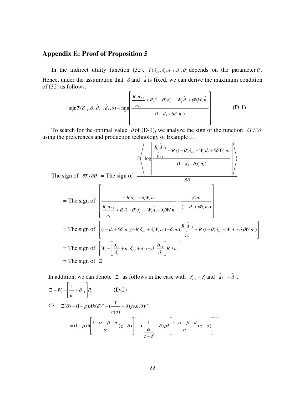### **Appendix E: Proof of Proposition 5**

In the indirect utility function (32),  $T(\delta_{r-1}, \delta_t, \tilde{d}_{t-1}, \tilde{d}_t, \theta)$ 1  $T(\delta_{t-1}, \delta_t, \tilde{d}_{t-1}, \tilde{d}_t, \theta)$  depends on the parameter  $\theta$ . Hence, under the assumption that  $\delta$  and  $\bar{d}$  is fixed, we can derive the maximum condition of (32) as follows:

$$
\min_{\theta} T(\delta_{t-1}, \delta_t, \tilde{d}_{t-1}, \tilde{d}_t, \theta) = \min_{\theta} \left[ \frac{R_t \tilde{d}_{t-1}}{\frac{\tilde{n}_{t-1}}{2}} + R_t (1-\theta) \delta_{t-1} - W_t \tilde{d}_t + \theta \delta_t W_t \tilde{n}_t}{(1-\tilde{d}_t + \theta \delta_t \tilde{n}_t)} \right] \tag{D-1}
$$

To search for the optimal value  $\theta$  of (D-1), we analyze the sign of the function  $\partial T / \partial \theta$ using the preferences and production technology of Example 1.

$$
\partial \left( \log \left( \frac{R_{i} \tilde{d}_{t-1}}{\frac{\tilde{n}_{t-1}}{2} + R_{i} (1-\theta) \delta_{t-1} - W_{i} \tilde{d}_{t} + \theta \delta_{i} W_{i} \tilde{n}_{t}}}{(1 - \tilde{d}_{t} + \theta \delta_{i} \tilde{n}_{t})} \right) \right)
$$
  
sign of  $\partial T / \partial \theta$  = The sign of

The s  $\partial \theta$ = The sign of  $\overline{\phantom{a}}$  $\overline{\phantom{a}}$  $\overline{\phantom{a}}$  $\overline{\phantom{a}}$  $\overline{\phantom{a}}$  $\overline{\phantom{a}}$  $\overline{\phantom{a}}$  $\overline{\phantom{a}}$ L L L L L L  $-d_{i}+$  $\overline{a}$  $+ R_{i} (1-\theta) \delta_{i-1} - W_{i} d_{i} +$  $-R_{i}\delta_{i-1}+$ i, ÷  $(1-\theta)\delta_{i-1} - W_i \tilde{d}_i + \delta_i \theta W \tilde{n}_i$   $(1-d_i + \theta \delta_i n_i)$ ~ ~ ~ ~ ~  $\mathcal{L}_{t}$  1  $\mathcal{L}_{t}$  1  $\mathcal{L}_{t-1}$ 1 ~ ~ 1  $t + \sigma v$ <sub>t</sub> $n_t$ *tt*  $t_{t}$   $(1-\sigma)O_{t-1} - W_{t} a_{t} + O_{t} \sigma W_{t} n_{t}$ *t t t*  $_{t}$  $O_{t-1}$  +  $O_{t}$ *W*<sub>t</sub>  $H_{t}$  $d_{i} + \theta \delta_{i} n$ *n*  $R_{i}(1-\theta)\delta_{i-1} - W_{i}d_{i} + \delta_{i}\theta W$  *n n dR*  $R_i \delta_{i-1} + \delta_i W_i n$  $\theta\delta$ δ  $\theta$ ) $\delta$  .  $-Wd + \delta \theta$  $\delta_{\cdot}$  +  $\delta$ = The sign of  $(1-d_1+\theta\delta_1 n_1)(-R_1\delta_{1}+\delta_1 W_1 n_1)-\delta_1 n_1(\frac{R_1}{n_1}+R_1(1-\theta)\delta_{1}+W_1d_1+\delta_1\theta W_1 n_1)$ L L  $-\tilde{d}_1+\theta\delta_{i}n_{i}$   $(-R_{i}\delta_{i}+ \delta_{i}W_{i}n_{i})-\delta_{i}n_{i}(\frac{R_{i}a_{i-1}}{r}+R_{i}(1-\theta)\delta_{i-1}-W_{i}d_{i})$  $(1-\tilde{d}_i+\theta\delta_i\tilde{n}_i)(-R_i\delta_{i-1}+\delta_iW_i\tilde{n}_i)-\delta_i\tilde{n}_i(\frac{R_i}{I_i}d_{i-1}+R_i(1-\theta)\delta_{i-1}-W_i\tilde{d}_i+\delta_i\theta W\tilde{n}_i)$ 1  $\overline{R}$   $\overline{R}$   $\overline{d}$  $~\sim$   $~$  $t_{t}$   $(1-\theta)O_{t-1} - W_{t} a_{t} + O_{t} \theta W_{t}$  $\lambda_t + \theta \delta_t n_t$ )( $-R_t \delta_{t-1} + \delta_t W_t n_t$ ) $-\delta_t n_t$ ( $\frac{R_t a_{t-1}}{a} + R_t (1-\theta) \delta_{t-1} - W_t d_t + \delta_t \theta W n_t$  $d_t + \theta \delta$ ,  $n_t$ )( $-R$ ,  $\delta$ <sub>r-1</sub></sub> +  $\delta$ ,  $W$ ,  $n_t$ ) $-\delta$ ,  $n_t$ ( $\frac{R_t d_{t-1}}{R}$  $+ R$ , (1- $\theta$ ) $\delta$ <sub>r-1</sub> - $W$ ,  $d$ , + $\delta$ , $\theta$ 

$$
= \text{The sign of } \left[W_t - \left[\frac{\delta_{t-1}}{\delta_t} + \hat{n}_t \delta_{t-1} + \hat{d}_{t-1} - \hat{d}_t \frac{\delta_{t-1}}{\delta_t}\right] R_t / \hat{n}_t\right]
$$
\n
$$
= \text{The sign of } \Xi
$$

J

 $\overline{\phantom{a}}$ 

In addition, we can denote  $\equiv$  as follows in the case with  $\delta_{t-1} = \delta_t$  and  $\tilde{d}_{t-1} = \tilde{d}_t$ 1  $\tilde{d}_{t-1} = \tilde{d}_t$ .

$$
\Xi = W_{i} - \left[ \frac{1}{\tilde{n}_{i}} + \delta_{i-1} \right] R_{i}
$$
\n
$$
\Leftrightarrow \quad \Xi(\delta) = (1 - \rho) Ak(\delta)^{\rho} - \left( \frac{1}{\tilde{n}(\delta)} + \delta \right) \rho Ak(\delta)^{\rho - 1}
$$
\n
$$
= (1 - \rho) A \left[ \frac{1 - \alpha - \beta - \tilde{d}}{\alpha} (z - \delta) \right]^{\rho} - \left( \frac{1}{\frac{\alpha}{\tilde{\alpha}}} + \delta \right) \rho A \left[ \frac{1 - \alpha - \beta - \tilde{d}}{\alpha} (z - \delta) \right]^{\rho - 1}
$$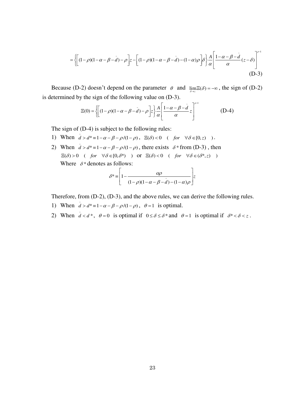$$
= \left\{ \left[ (1-\rho)(1-\alpha-\beta-\tilde{d}) - \rho \right] z - \left[ (1-\rho)(1-\alpha-\beta-\tilde{d}) - (1-\alpha)\rho \right] \delta \right\} \frac{A}{\alpha} \left[ \frac{1-\alpha-\beta-\tilde{d}}{\alpha} (z-\delta) \right]^{p-1} \tag{D-3}
$$

Because (D-2) doesn't depend on the parameter  $\theta$  and  $\lim_{\delta \to z} \Xi(\delta) = -\infty$ , the sign of (D-2) is determined by the sign of the following value on (D-3).

$$
\Xi(0) = \left\{ \left[ (1-\rho)(1-\alpha-\beta-\tilde{d}) - \rho \right] z \right\} \frac{A}{\alpha} \left[ \frac{1-\alpha-\beta-\tilde{d}}{\alpha} z \right]^{\rho-1} \tag{D-4}
$$

The sign of (D-4) is subject to the following rules:

- 1) When  $\vec{d} > d^* = 1 \alpha \beta \rho/(1 \rho)$ ,  $\Xi(\delta) < 0$  ( *for*  $\forall \delta \in [0, z)$ ).
- 2) When  $\bar{d} > d^* = 1 \alpha \beta \rho/(1 \rho)$ , there exists  $\delta^*$  from (D-3), then  $\Xi(\delta)>0 \quad (\text{ for } \forall \delta \in [0,\delta^*) \quad ) \quad \text{or } \ \Xi(\delta)<0 \quad (\text{ for } \forall \delta \in (\delta^*,z) \quad )$ Where  $\delta^*$  denotes as follows:  $\overline{1}$

$$
\delta^* = \left[1 - \frac{\alpha \rho}{(1 - \rho)(1 - \alpha - \beta - d) - (1 - \alpha)\rho}\right]z
$$

Therefore, from (D-2), (D-3), and the above rules, we can derive the following rules.

- 1) When  $\bar{d} > d^* = 1 \alpha \beta \rho/(1 \rho)$ ,  $\theta = 1$  is optimal.
- 2) When  $\tilde{d} < d^*$ ,  $\theta = 0$  is optimal if  $0 \le \delta \le \delta^*$  and  $\theta = 1$  is optimal if  $\delta^* < \delta < z$ .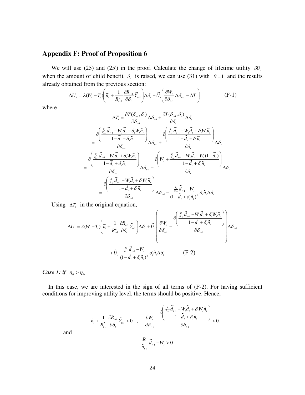### **Appendix F: Proof of Proposition 6**

We will use (25) and (25') in the proof. Calculate the change of lifetime utility  $\delta U_t$ when the amount of child benefit  $\delta_i$  is raised, we can use (31) with  $\theta = 1$  and the results already obtained from the previous section:

$$
\Delta U_{t} = \lambda (W_{t} - T_{t}) \left( \tilde{n}_{t} + \frac{1}{R_{t+1}^{2}} \frac{\partial R_{t+1}}{\partial \delta_{t}} \tilde{Y}_{t+1} \right) \Delta \delta_{t} + \tilde{U}_{t} \left( \frac{\partial W_{t}}{\partial \delta_{t-1}} \Delta \delta_{t-1} - \Delta T_{t} \right)
$$
(F-1)

where

$$
\Delta T_{i} = \frac{\partial T(\delta_{i-1}, \delta_{i})}{\partial \delta_{i-1}} \Delta \delta_{i+1} + \frac{\partial T(\delta_{i-1}, \delta_{i})}{\partial \delta_{i}} \Delta \delta_{i}
$$
\n
$$
= \frac{\partial \left(\frac{\frac{R}{\overline{n}_{i-1}}\widetilde{d}_{i-1} - W_{i}\widetilde{d}_{i} + \delta_{i}W_{i}\widetilde{n}_{i}}{1 - \widetilde{d}_{i} + \delta_{i}\widetilde{n}_{i}}\right)}{\partial \delta_{i-1}} \Delta \delta_{i+1} + \frac{\partial \left(\frac{\frac{R}{\overline{n}_{i-1}}\widetilde{d}_{i-1} - W_{i}\widetilde{d}_{i} + \delta_{i}W_{i}\widetilde{n}_{i}}{1 - \widetilde{d}_{i} + \delta_{i}\widetilde{n}_{i}}\right)}{\partial \delta_{i}}
$$
\n
$$
= \frac{\partial \left(\frac{\frac{R}{\overline{n}_{i-1}}\widetilde{d}_{i-1} - W_{i}\widetilde{d}_{i} + \delta_{i}W_{i}\widetilde{n}_{i}}{1 - \widetilde{d}_{i} + \delta_{i}\widetilde{n}_{i}}\right)}{\partial \delta_{i-1}} \Delta \delta_{i-1} + \frac{\partial \left(W_{i} + \frac{\frac{R}{\overline{n}_{i-1}}\widetilde{d}_{i-1} - W_{i}\widetilde{d}_{i} - W_{i}(1 - \widetilde{d}_{i})}{1 - \widetilde{d}_{i} + \delta_{i}\widetilde{n}_{i}}\right)}{\partial \delta_{i}}
$$
\n
$$
= \frac{\partial \left(\frac{\frac{R}{\overline{n}_{i-1}}\widetilde{d}_{i-1} - W_{i}\widetilde{d}_{i} + \delta_{i}W_{i}\widetilde{n}_{i}}{1 - \widetilde{d}_{i} + \delta_{i}\widetilde{n}_{i}}\right)}{\partial \delta_{i-1}} \Delta \delta_{i-1} - \frac{\frac{R}{\overline{n}_{i-1}}\widetilde{d}_{i-1} - W_{i}}{\partial \delta_{i}\widetilde{n}_{i}} \delta_{i}\widetilde{n}_{i} \Delta \delta_{i}}
$$

Using  $\Delta T$ , in the original equation,

$$
\Delta U_{i} = \lambda (W_{i} - T_{i}) \left( \tilde{n}_{i} + \frac{1}{R_{i+1}^{2}} \frac{\partial R_{i+1}}{\partial \delta_{i}} \tilde{Y}_{i+1} \right) \Delta \delta_{i} + \tilde{U}_{i} \left( \frac{\partial W_{i}}{\partial \delta_{i-1}} - \frac{\partial \left( \frac{R_{i}}{\tilde{n}_{i-1}} \tilde{d}_{i-1} - W_{i} \tilde{d}_{i} + \delta_{i} W_{i} \tilde{n}_{i}}{1 - \tilde{d}_{i} + \delta_{i} \tilde{n}_{i}} \right) \Delta \delta_{i-1} + \tilde{U}_{i} \frac{\frac{R_{i}}{\tilde{n}_{i-1}} \tilde{d}_{i-1} - W_{i}}{(1 - \tilde{d}_{i} + \delta_{i} \tilde{n}_{i})^{2}} \delta_{i} \tilde{n}_{i} \Delta \delta_{i} \qquad (F-2)
$$

*Case 1: if*  $\eta_s > \eta_{\delta}$ 

and

In this case, we are interested in the sign of all terms of (F-2). For having sufficient conditions for improving utility level, the terms should be positive. Hence,

$$
\widetilde{n}_{_{\text{r}}} + \frac{1}{R_{_{\text{r}+1}}^2}\frac{\partial R_{_{\text{r}+1}}}{\partial \delta_{_{\text{r}}}}\widetilde{Y}_{_{\text{r}+1}} > 0 \quad , \quad \frac{\partial W_{_{\text{r}}}}{\partial \delta_{_{\text{r}-1}}} - \frac{\partial \left(\dfrac{\frac{R_{\text{r}}}{\widetilde{n}_{_{\text{r}-1}}}}{1-\widetilde{d}_{_{\text{r}}}}+\delta_{_{\text{r}}}\widetilde{n}_{_{\text{r}}}}{1-\widetilde{d}_{_{\text{r}}}+\delta_{_{\text{r}}}\widetilde{n}_{_{\text{r}}}}\right)}{\partial \delta_{_{\text{r}-1}}} > 0.
$$

24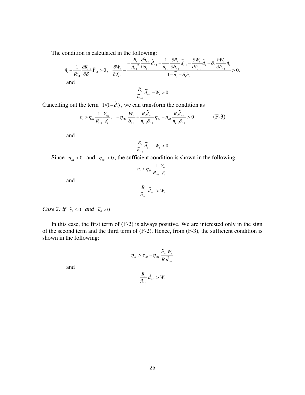The condition is calculated in the following:

$$
\widetilde{n}_{i} + \frac{1}{R_{i+1}^{2}} \frac{\partial R_{i+1}}{\partial \delta_{i}} \widetilde{Y}_{i+1} > 0, \quad \frac{\partial W_{i}}{\partial \delta_{i-1}} - \frac{\frac{R_{i}}{\widetilde{n}_{i-1}}}{\frac{R_{i-1}}{\widetilde{n}_{i-1}}}\frac{\partial \widetilde{n}_{i-1}}{\partial \delta_{i-1}} + \frac{1}{\widetilde{n}_{i-1}} \frac{\partial R_{i}}{\partial \delta_{i-1}} \widetilde{d}_{i-1} - \frac{\partial W_{i}}{\partial \delta_{i-1}} \widetilde{d}_{i} + \delta_{i} \frac{\partial W_{i}}{\partial \delta_{i-1}} \widetilde{n}_{i} 1 - \widetilde{d}_{i} + \delta_{i} \widetilde{n}_{i} 1 - \widetilde{d}_{i} + \delta_{i} \widetilde{n}_{i} 1 - W > 0
$$

$$
\frac{R_{t}}{\widetilde{n}_{t-1}}\widetilde{d}_{t-1}-W_{t}>0
$$

Cancelling out the term  $1/(1 - \tilde{d}_t)$ , we can transform the condition as

$$
n_{i} > \eta_{\Re} \frac{1}{R_{i+1}} \frac{Y_{i+1}}{\delta_{i}}, \quad -\eta_{\Re} \frac{W_{i}}{\delta_{i-1}} + \frac{R_{i} \tilde{d}_{i-1}}{\tilde{n}_{i-1} \delta_{i-1}} \eta_{\Re} + \eta_{\Re} \frac{R_{i} \tilde{d}_{i-1}}{\tilde{n}_{i-1} \delta_{i-1}} > 0
$$
 (F-3)

and

$$
\frac{R_{\textit{r}}}{\widetilde{n}_{\textit{r}-1}}\widetilde{d}_{\textit{r}-1}-W_{\textit{r}}>0
$$

Since  $\eta_{\alpha} > 0$  and  $\eta_{\alpha} < 0$ , the sufficient condition is shown in the following:

$$
n_{t} > \eta_{\text{SR}} \frac{1}{R_{t+1}} \frac{Y_{t+1}}{\delta_{t}}
$$

and

$$
\frac{R_{i}}{\widetilde{n}_{i-1}}\widetilde{d}_{i-1} > W_{i}
$$

*Case 2: if*  $\tilde{s}_s \leq 0$  *and*  $\tilde{n}_s > 0$ 

In this case, the first term of (F-2) is always positive. We are interested only in the sign of the second term and the third term of (F-2). Hence, from (F-3), the sufficient condition is shown in the following:

$$
\eta_{\delta\imath} > \varepsilon_{\delta\!R}} + \eta_{\delta W} \frac{\widetilde{n}_{_{t-1}}W_{_t}}{R_{_t}\widetilde{d}_{_{t-1}}}
$$

and

$$
\frac{R_{t}}{\widetilde{n}_{t-1}}\widetilde{d}_{t-1} > W_{t}
$$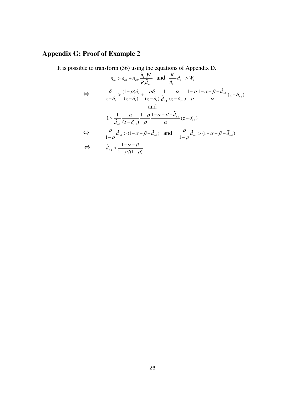# **Appendix G: Proof of Example 2**

It is possible to transform (36) using the equations of Appendix D.

$$
\eta_{\delta_n} > \varepsilon_{\delta_R} + \eta_{\delta_W} \frac{\tilde{n}_{i-1} W_i}{R_i \tilde{d}_{i-1}} \text{ and } \frac{R_i}{\tilde{n}_{i-1}} \tilde{d}_{i-1} > W_i
$$
\n
$$
\Leftrightarrow \qquad \frac{\delta_i}{z - \delta_i} > \frac{(1 - \rho)\delta_i}{(z - \delta_i)} + \frac{\rho \delta_i}{(z - \delta_i)} \frac{1}{\tilde{d}_{i-1}} \frac{\alpha}{(z - \delta_{i-1})} \frac{1 - \rho}{\rho} \frac{1 - \alpha - \beta - \tilde{d}_{i-1}}{\alpha} (z - \delta_{i-1})
$$
\nand\n
$$
1 > \frac{1}{\tilde{d}_{i-1}} \frac{\alpha}{(z - \delta_{i-1})} \frac{1 - \rho}{\rho} \frac{1 - \alpha - \beta - \tilde{d}_{i-1}}{\alpha} (z - \delta_{i-1})
$$
\n
$$
\Leftrightarrow \qquad \frac{\rho}{1 - \rho} \tilde{d}_{i-1} > (1 - \alpha - \beta - \tilde{d}_{i-1}) \text{ and } \frac{\rho}{1 - \rho} \tilde{d}_{i-1} > (1 - \alpha - \beta - \tilde{d}_{i-1})
$$
\n
$$
\tilde{d}_{i-1} > \frac{1 - \alpha - \beta}{1 + \rho/(1 - \rho)}
$$